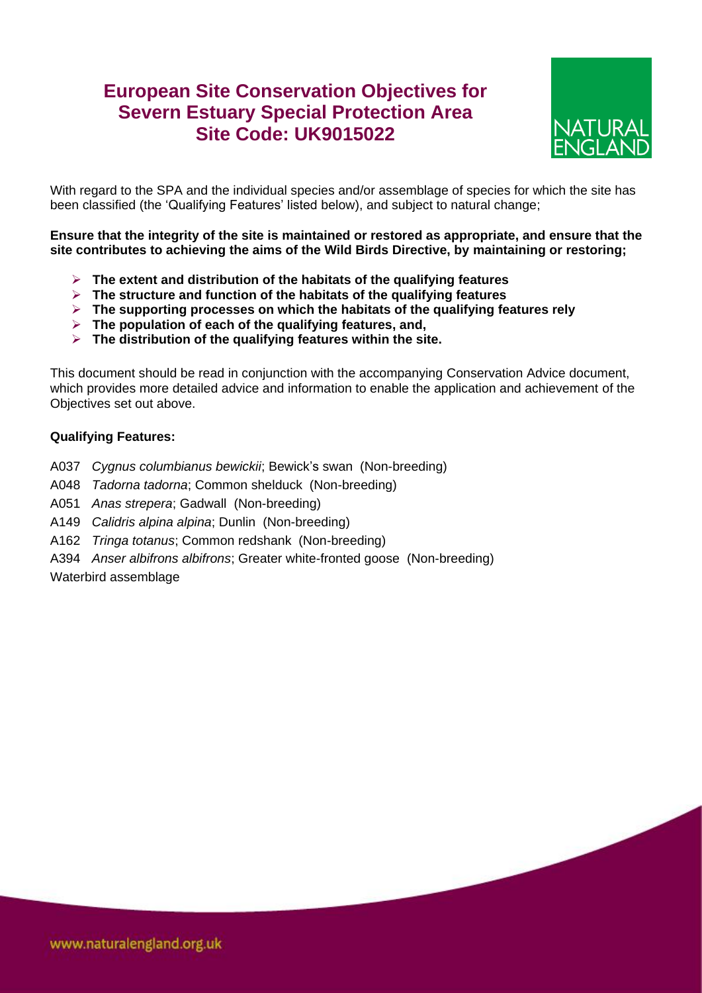# **European Site Conservation Objectives for Severn Estuary Special Protection Area Site Code: UK9015022**



With regard to the SPA and the individual species and/or assemblage of species for which the site has been classified (the 'Qualifying Features' listed below), and subject to natural change;

**Ensure that the integrity of the site is maintained or restored as appropriate, and ensure that the site contributes to achieving the aims of the Wild Birds Directive, by maintaining or restoring;**

- **The extent and distribution of the habitats of the qualifying features**
- **The structure and function of the habitats of the qualifying features**
- **The supporting processes on which the habitats of the qualifying features rely**
- **The population of each of the qualifying features, and,**
- **The distribution of the qualifying features within the site.**

This document should be read in conjunction with the accompanying Conservation Advice document, which provides more detailed advice and information to enable the application and achievement of the Objectives set out above.

#### **Qualifying Features:**

- A037 *Cygnus columbianus bewickii*; Bewick's swan (Non-breeding)
- A048 *Tadorna tadorna*; Common shelduck (Non-breeding)
- A051 *Anas strepera*; Gadwall (Non-breeding)
- A149 *Calidris alpina alpina*; Dunlin (Non-breeding)
- A162 *Tringa totanus*; Common redshank (Non-breeding)
- A394 *Anser albifrons albifrons*; Greater white-fronted goose (Non-breeding)

Waterbird assemblage